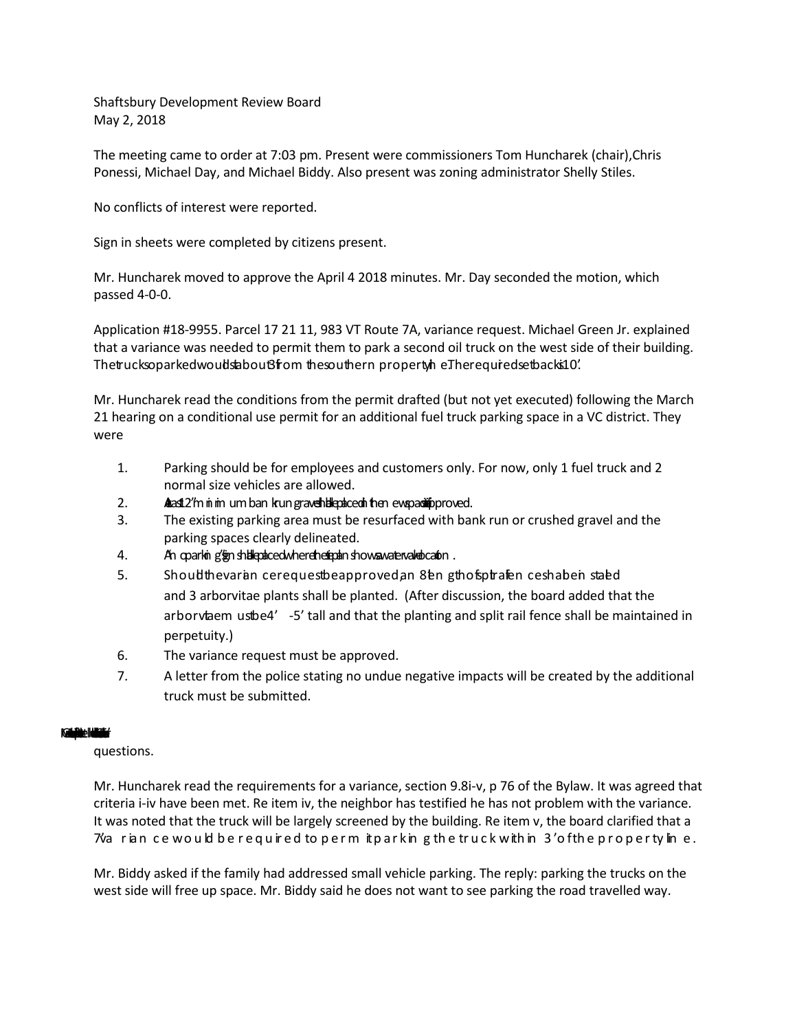Shaftsbury Development Review Board May 2, 2018

The meeting came to order at 7:03 pm. Present were commissioners Tom Huncharek (chair),Chris Ponessi, Michael Day, and Michael Biddy. Also present was zoning administrator Shelly Stiles.

No conflicts of interest were reported.

Sign in sheets were completed by citizens present.

Mr. Huncharek moved to approve the April 4 2018 minutes. Mr. Day seconded the motion, which passed 4-0-0.

Application #18-9955. Parcel 17 21 11, 983 VT Route 7A, variance request. Michael Green Jr. explained that a variance was needed to permit them to park a second oil truck on the west side of their building. The truck so parked would shout 3 from the southern property ine The required setback is 10'.

Mr. Huncharek read the conditions from the permit drafted (but not yet executed) following the March 21 hearing on a conditional use permit for an additional fuel truck parking space in a VC district. They were

- 1. Parking should be for employees and customers only. For now, only 1 fuel truck and 2 normal size vehicles are allowed.
- 2. At assisting in in the plank run grave in the place of the new pace if proved.
- 3. The existing parking area must be resurfaced with bank run or crushed gravel and the parking spaces clearly delineated.
- 4. An oparking " sign shall episced where the sign show saw ater valve boat n .
- 5. Should the variance request be approved an 8 be net be had been been stabed and 3 arborvitae plants shall be planted. (After discussion, the board added that the arborviaem usibe 4' -5' tall and that the planting and split rail fence shall be maintained in perpetuity.)
- 6. The variance request must be approved.
- 7. A letter from the police stating no undue negative impacts will be created by the additional truck must be submitted.

## **Martin said he handbaked said he handbaked said he handbaked said said he handbaked said he police. Mark as k**e

questions.

Mr. Huncharek read the requirements for a variance, section 9.8i-v, p 76 of the Bylaw. It was agreed that criteria i-iv have been met. Re item iv, the neighbor has testified he has not problem with the variance. It was noted that the truck will be largely screened by the building. Re item v, the board clarified that a 7/a rian ce would be required to perm it parking the truck with in 3' of the property line.

Mr. Biddy asked if the family had addressed small vehicle parking. The reply: parking the trucks on the west side will free up space. Mr. Biddy said he does not want to see parking the road travelled way.